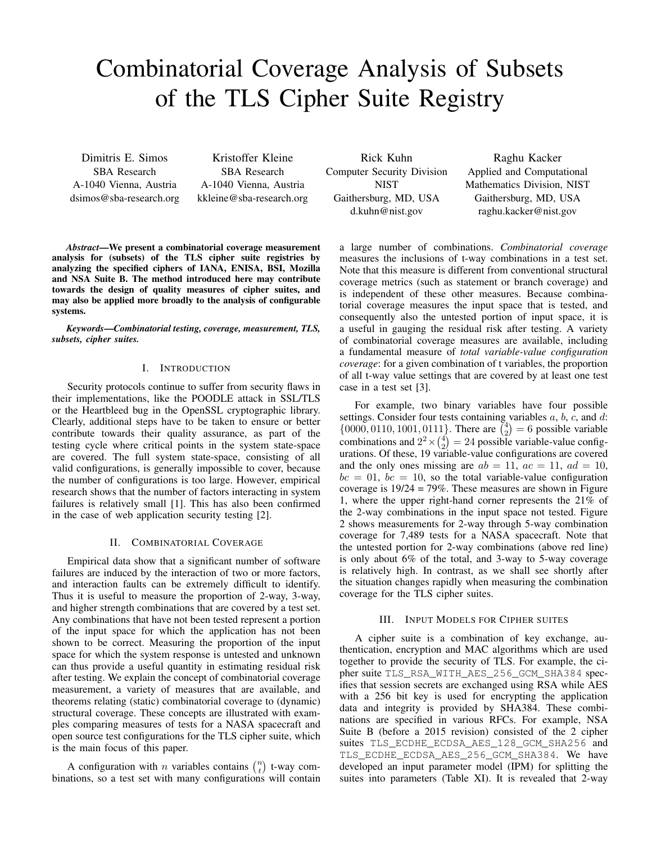# Combinatorial Coverage Analysis of Subsets of the TLS Cipher Suite Registry

SBA Research SBA Research A-1040 Vienna, Austria A-1040 Vienna, Austria dsimos@sba-research.org kkleine@sba-research.org

Dimitris E. Simos Kristoffer Kleine

Gaithersburg, MD, USA Gaithersburg, MD, USA

Rick Kuhn Raghu Kacker Computer Security Division Applied and Computational NIST Mathematics Division, NIST d.kuhn@nist.gov raghu.kacker@nist.gov

*Abstract*—We present a combinatorial coverage measurement analysis for (subsets) of the TLS cipher suite registries by analyzing the specified ciphers of IANA, ENISA, BSI, Mozilla and NSA Suite B. The method introduced here may contribute towards the design of quality measures of cipher suites, and may also be applied more broadly to the analysis of configurable systems.

*Keywords*—*Combinatorial testing, coverage, measurement, TLS, subsets, cipher suites.*

### I. INTRODUCTION

Security protocols continue to suffer from security flaws in their implementations, like the POODLE attack in SSL/TLS or the Heartbleed bug in the OpenSSL cryptographic library. Clearly, additional steps have to be taken to ensure or better contribute towards their quality assurance, as part of the contribute towards their quality assurance, as part of the  $\{0000, 0110, 1001, 0111\}$ . There are  $\binom{4}{2} = 6$  possible variable variable variable contribute towards their quality assurance, as part of the combinations testing cycle where critical points in the system state-space combinations and  $2^2 \times {4 \choose 2} = 24$  possible variable-value configare covered. The full system state-space, consisting of all valid configurations, is generally impossible to cover, because the number of configurations is too large. However, empirical research shows that the number of factors interacting in system failures is relatively small [1]. This has also been confirmed in the case of web application security testing [2].

## II. COMBINATORIAL COVERAGE

Empirical data show that a significant number of software failures are induced by the interaction of two or more factors, and interaction faults can be extremely difficult to identify. the situation changes rapidly when measuring the combination Thus it is useful to measure the proportion of 2-way, 3-way, and higher strength combinations that are covered by a test set. Any combinations that have not been tested represent a portion of the input space for which the application has not been shown to be correct. Measuring the proportion of the input space for which the system response is untested and unknown can thus provide a useful quantity in estimating residual risk after testing. We explain the concept of combinatorial coverage measurement, a variety of measures that are available, and theorems relating (static) combinatorial coverage to (dynamic) structural coverage. These concepts are illustrated with examples comparing measures of tests for a NASA spacecraft and open source test configurations for the TLS cipher suite, which is the main focus of this paper.

A configuration with *n* variables contains  $\binom{n}{t}$  t-way combinations, so a test set with many configurations will contain a large number of combinations. *Combinatorial coverage*  measures the inclusions of t-way combinations in a test set. Note that this measure is different from conventional structural coverage metrics (such as statement or branch coverage) and is independent of these other measures. Because combinatorial coverage measures the input space that is tested, and consequently also the untested portion of input space, it is a useful in gauging the residual risk after testing. A variety of combinatorial coverage measures are available, including a fundamental measure of *total variable-value configuration coverage*: for a given combination of t variables, the proportion of all t-way value settings that are covered by at least one test case in a test set [3].

For example, two binary variables have four possible settings. Consider four tests containing variables  $a, b, c$ , and  $d$ : urations. Of these, 19 variable-value configurations are covered and the only ones missing are  $ab = 11$ ,  $ac = 11$ ,  $ad = 10$ ,  $bc = 01$ ,  $bc = 10$ , so the total variable-value configuration coverage is 19/24 = 79%. These measures are shown in Figure 1, where the upper right-hand corner represents the 21% of the 2-way combinations in the input space not tested. Figure 2 shows measurements for 2-way through 5-way combination coverage for 7,489 tests for a NASA spacecraft. Note that the untested portion for 2-way combinations (above red line) is only about 6% of the total, and 3-way to 5-way coverage is relatively high. In contrast, as we shall see shortly after coverage for the TLS cipher suites.

## III. INPUT MODELS FOR CIPHER SUITES

A cipher suite is a combination of key exchange, authentication, encryption and MAC algorithms which are used together to provide the security of TLS. For example, the cipher suite TLS\_RSA\_WITH\_AES\_256\_GCM\_SHA384 specifies that session secrets are exchanged using RSA while AES with a 256 bit key is used for encrypting the application data and integrity is provided by SHA384. These combinations are specified in various RFCs. For example, NSA Suite B (before a 2015 revision) consisted of the 2 cipher suites TLS\_ECDHE\_ECDSA\_AES\_128\_GCM\_SHA256 and TLS\_ECDHE\_ECDSA\_AES\_256\_GCM\_SHA384. We have developed an input parameter model (IPM) for splitting the suites into parameters (Table XI). It is revealed that 2-way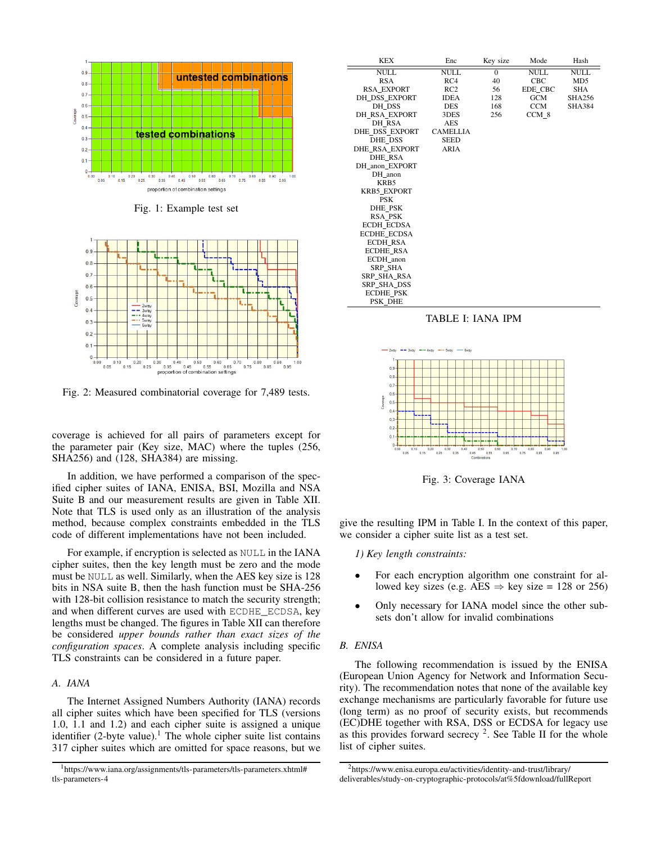



Fig. 2: Measured combinatorial coverage for 7,489 tests.

coverage is achieved for all pairs of parameters except for the parameter pair (Key size, MAC) where the tuples (256, SHA256) and (128, SHA384) are missing.

In addition, we have performed a comparison of the specified cipher suites of IANA, ENISA, BSI, Mozilla and NSA Suite B and our measurement results are given in Table XII. Note that TLS is used only as an illustration of the analysis method, because complex constraints embedded in the TLS code of different implementations have not been included.

For example, if encryption is selected as NULL in the IANA cipher suites, then the key length must be zero and the mode must be NULL as well. Similarly, when the AES key size is 128 bits in NSA suite B, then the hash function must be SHA-256 with 128-bit collision resistance to match the security strength; and when different curves are used with ECDHE\_ECDSA, key lengths must be changed. The figures in Table XII can therefore be considered *upper bounds rather than exact sizes of the configuration spaces*. A complete analysis including specific TLS constraints can be considered in a future paper.

#### *A. IANA*

The Internet Assigned Numbers Authority (IANA) records all cipher suites which have been specified for TLS (versions 1.0, 1.1 and 1.2) and each cipher suite is assigned a unique identifier  $(2$ -byte value).<sup>1</sup> The whole cipher suite list contains 317 cipher suites which are omitted for space reasons, but we

| <b>KEX</b>            | Enc             | Key size | Mode        | Hash            |
|-----------------------|-----------------|----------|-------------|-----------------|
| <b>NULL</b>           | <b>NULL</b>     | $\Omega$ | <b>NULL</b> | <b>NULL</b>     |
| <b>RSA</b>            | RC4             | 40       | CBC         | MD <sub>5</sub> |
| <b>RSA EXPORT</b>     | RC2             | 56       | EDE CBC     | <b>SHA</b>      |
| DH DSS EXPORT         | <b>IDEA</b>     | 128      | <b>GCM</b>  | <b>SHA256</b>   |
| DH DSS                | <b>DES</b>      | 168      | <b>CCM</b>  | <b>SHA384</b>   |
| <b>DH RSA EXPORT</b>  | 3DES            | 256      | CCM 8       |                 |
| DH RSA                | AES             |          |             |                 |
| DHE_DSS_EXPORT        | <b>CAMELLIA</b> |          |             |                 |
| DHE DSS               | <b>SEED</b>     |          |             |                 |
| <b>DHE RSA EXPORT</b> | ARIA            |          |             |                 |
| <b>DHE RSA</b>        |                 |          |             |                 |
| DH anon EXPORT        |                 |          |             |                 |
| DH anon               |                 |          |             |                 |
| KRB5                  |                 |          |             |                 |
| <b>KRB5 EXPORT</b>    |                 |          |             |                 |
| <b>PSK</b>            |                 |          |             |                 |
| <b>DHE PSK</b>        |                 |          |             |                 |
| <b>RSA PSK</b>        |                 |          |             |                 |
| <b>ECDH ECDSA</b>     |                 |          |             |                 |
| <b>ECDHE ECDSA</b>    |                 |          |             |                 |
| <b>ECDH RSA</b>       |                 |          |             |                 |
| <b>ECDHE RSA</b>      |                 |          |             |                 |
| ECDH anon             |                 |          |             |                 |
| <b>SRP SHA</b>        |                 |          |             |                 |
| <b>SRP SHA RSA</b>    |                 |          |             |                 |
| SRP SHA DSS           |                 |          |             |                 |
| <b>ECDHE PSK</b>      |                 |          |             |                 |
| PSK DHE               |                 |          |             |                 |





Fig. 3: Coverage IANA

give the resulting IPM in Table I. In the context of this paper, we consider a cipher suite list as a test set.

- *1) Key length constraints:*
- For each encryption algorithm one constraint for allowed key sizes (e.g. AES  $\Rightarrow$  key size = 128 or 256)
- Only necessary for IANA model since the other subsets don't allow for invalid combinations

## *B. ENISA*

The following recommendation is issued by the ENISA (European Union Agency for Network and Information Security). The recommendation notes that none of the available key exchange mechanisms are particularly favorable for future use (long term) as no proof of security exists, but recommends (EC)DHE together with RSA, DSS or ECDSA for legacy use as this provides forward secrecy  $2$ . See Table II for the whole list of cipher suites.

<sup>1</sup>https://www.iana.org/assignments/tls-parameters/tls-parameters.xhtml# tls-parameters-4

<sup>2</sup>https://www.enisa.europa.eu/activities/identity-and-trust/library/ deliverables/study-on-cryptographic-protocols/at%5fdownload/fullReport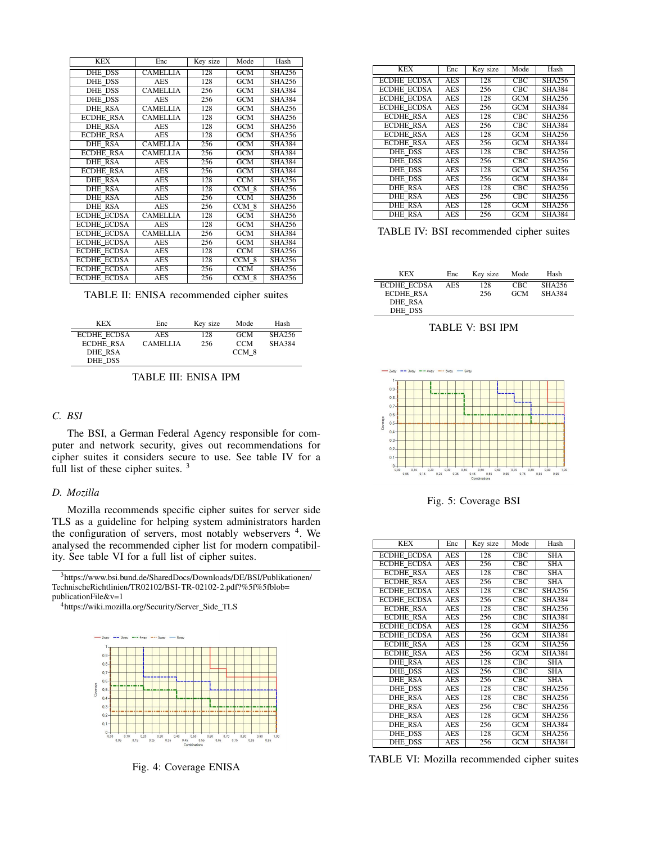| <b>KEX</b>         | Enc             | Key size | Mode             | Hash          |
|--------------------|-----------------|----------|------------------|---------------|
| DHE DSS            | <b>CAMELLIA</b> | 128      | <b>GCM</b>       | <b>SHA256</b> |
| <b>DHE DSS</b>     | <b>AES</b>      | 128      | GCM              | SHA256        |
| <b>DHE DSS</b>     | <b>CAMELLIA</b> | 256      | GCM              | <b>SHA384</b> |
| <b>DHE DSS</b>     | <b>AES</b>      | 256      | GCM              | <b>SHA384</b> |
| <b>DHE RSA</b>     | <b>CAMELLIA</b> | 128      | GCM              | <b>SHA256</b> |
| <b>ECDHE RSA</b>   | <b>CAMELLIA</b> | 128      | GCM              | <b>SHA256</b> |
| DHE RSA            | <b>AES</b>      | 128      | GCM              | <b>SHA256</b> |
| <b>ECDHE RSA</b>   | AES             | 128      | GCM              | SHA256        |
| <b>DHE RSA</b>     | <b>CAMELLIA</b> | 256      | GCM              | <b>SHA384</b> |
| <b>ECDHE RSA</b>   | <b>CAMELLIA</b> | 256      | GCM              | <b>SHA384</b> |
| DHE RSA            | <b>AES</b>      | 256      | <b>GCM</b>       | <b>SHA384</b> |
| <b>ECDHE RSA</b>   | <b>AES</b>      | 256      | GCM              | <b>SHA384</b> |
| <b>DHE RSA</b>     | <b>AES</b>      | 128      | $\overline{CCM}$ | <b>SHA256</b> |
| <b>DHE RSA</b>     | <b>AES</b>      | 128      | CCM 8            | SHA256        |
| <b>DHE RSA</b>     | <b>AES</b>      | 256      | <b>CCM</b>       | <b>SHA256</b> |
| <b>DHE RSA</b>     | <b>AES</b>      | 256      | CCM 8            | <b>SHA256</b> |
| <b>ECDHE ECDSA</b> | <b>CAMELLIA</b> | 128      | <b>GCM</b>       | <b>SHA256</b> |
| <b>ECDHE ECDSA</b> | <b>AES</b>      | 128      | <b>GCM</b>       | <b>SHA256</b> |
| <b>ECDHE ECDSA</b> | <b>CAMELLIA</b> | 256      | GCM              | <b>SHA384</b> |
| <b>ECDHE ECDSA</b> | <b>AES</b>      | 256      | <b>GCM</b>       | <b>SHA384</b> |
| <b>ECDHE ECDSA</b> | AES             | 128      | $\overline{CCM}$ | <b>SHA256</b> |
| <b>ECDHE ECDSA</b> | AES             | 128      | $CCM$ 8          | <b>SHA256</b> |
| <b>ECDHE ECDSA</b> | <b>AES</b>      | 256      | <b>CCM</b>       | <b>SHA256</b> |
| <b>ECDHE ECDSA</b> | <b>AES</b>      | 256      | CCM 8            | SHA256        |

TABLE II: ENISA recommended cipher suites

| <b>KEX</b>         | Enc             | Kev size | Mode       | Hash          |
|--------------------|-----------------|----------|------------|---------------|
| <b>ECDHE ECDSA</b> | <b>AES</b>      | 128      | <b>GCM</b> | SHA256        |
| <b>ECDHE RSA</b>   | <b>CAMELLIA</b> | 256      | <b>CCM</b> | <b>SHA384</b> |
| DHE RSA            |                 |          | CCM 8      |               |
| DHE DSS            |                 |          |            |               |

## TABLE III: ENISA IPM

## *C. BSI*

The BSI, a German Federal Agency responsible for computer and network security, gives out recommendations for cipher suites it considers secure to use. See table IV for a full list of these cipher suites.<sup>3</sup>

## *D. Mozilla*

Mozilla recommends specific cipher suites for server side TLS as a guideline for helping system administrators harden the configuration of servers, most notably webservers <sup>4</sup>. We analysed the recommended cipher list for modern compatibility. See table VI for a full list of cipher suites.

3https://www.bsi.bund.de/SharedDocs/Downloads/DE/BSI/Publikationen/ TechnischeRichtlinien/TR02102/BSI-TR-02102-2.pdf?%5f%5fblob=<br>publicationFile&v=1

<sup>4</sup>https://wiki.mozilla.org/Security/Server\_Side\_TLS



| <b>KEX</b>         | Enc        | Key size | Mode             | Hash                       |
|--------------------|------------|----------|------------------|----------------------------|
| <b>ECDHE ECDSA</b> | <b>AES</b> | 128      | CEC              | <b>SHA256</b>              |
| <b>ECDHE ECDSA</b> | <b>AES</b> | 256      | <b>CBC</b>       | <b>SHA384</b>              |
| <b>ECDHE ECDSA</b> | AES        | 128      | <b>GCM</b>       | <b>SHA256</b>              |
| <b>ECDHE ECDSA</b> | AES        | 256      | GCM              | <b>SHA384</b>              |
| <b>ECDHE RSA</b>   | <b>AES</b> | 128      | <b>CBC</b>       | $\overline{\text{SHA256}}$ |
| <b>ECDHE RSA</b>   | <b>AES</b> | 256      | <b>CBC</b>       | <b>SHA384</b>              |
| <b>ECDHE RSA</b>   | <b>AES</b> | 128      | $\overline{GCM}$ | SHA256                     |
| <b>ECDHE RSA</b>   | <b>AES</b> | 256      | <b>GCM</b>       | <b>SHA384</b>              |
| DHE DSS            | AES        | 128      | <b>CBC</b>       | SHA256                     |
| <b>DHE DSS</b>     | AES        | 256      | CBC              | SHA256                     |
| <b>DHE DSS</b>     | AES        | 128      | GCM              | SHA256                     |
| DHE DSS            | <b>AES</b> | 256      | <b>GCM</b>       | <b>SHA384</b>              |
| <b>DHE RSA</b>     | AES        | 128      | CBC              | SHA256                     |
| <b>DHE RSA</b>     | <b>AES</b> | 256      | CEC              | <b>SHA256</b>              |
| <b>DHE RSA</b>     | <b>AES</b> | 128      | GCM              | SHA256                     |
| <b>DHE RSA</b>     | AES        | 256      | GCM              | <b>SHA384</b>              |

|  |  |  |  | TABLE IV: BSI recommended cipher suites |  |  |
|--|--|--|--|-----------------------------------------|--|--|
|--|--|--|--|-----------------------------------------|--|--|

| <b>KEX</b>         | Enc        | Key size | Mode       | Hash          |
|--------------------|------------|----------|------------|---------------|
| <b>ECDHE ECDSA</b> | <b>AES</b> | 128      | CBC.       | <b>SHA256</b> |
| <b>ECDHE RSA</b>   |            | 256      | <b>GCM</b> | <b>SHA384</b> |
| DHE RSA            |            |          |            |               |
| DHE DSS            |            |          |            |               |

TABLE V: BSI IPM



Fig. 5: Coverage BSI

| <b>KEX</b>         | Enc        | Key size | Mode       | Hash                    |
|--------------------|------------|----------|------------|-------------------------|
| <b>ECDHE ECDSA</b> | <b>AES</b> | 128      | CEC        | SHA                     |
| <b>ECDHE ECDSA</b> | <b>AES</b> | 256      | <b>CBC</b> | <b>SHA</b>              |
| <b>ECDHE RSA</b>   | <b>AES</b> | 128      | CBC        | <b>SHA</b>              |
| <b>ECDHE RSA</b>   | <b>AES</b> | 256      | CEC        | SHA                     |
| <b>ECDHE ECDSA</b> | <b>AES</b> | 128      | CEC        | <b>SHA256</b>           |
| <b>ECDHE ECDSA</b> | <b>AES</b> | 256      | CBC        | <b>SHA384</b>           |
| <b>ECDHE RSA</b>   | <b>AES</b> | 128      | CEC        | <b>SHA256</b>           |
| <b>ECDHE RSA</b>   | <b>AES</b> | 256      | <b>CBC</b> | <b>SHA384</b>           |
| <b>ECDHE ECDSA</b> | AES        | 128      | <b>GCM</b> | <b>SHA256</b>           |
| <b>ECDHE ECDSA</b> | <b>AES</b> | 256      | GCM        | <b>SHA384</b>           |
| <b>ECDHE RSA</b>   | <b>AES</b> | 128      | <b>GCM</b> | <b>SHA256</b>           |
| <b>ECDHE RSA</b>   | <b>AES</b> | 256      | GCM        | <b>SHA384</b>           |
| <b>DHE RSA</b>     | <b>AES</b> | 128      | CEC        | <b>SHA</b>              |
| DHE DSS            | <b>AES</b> | 256      | CEC        | $\overline{\text{SHA}}$ |
| <b>DHE RSA</b>     | <b>AES</b> | 256      | <b>CBC</b> | <b>SHA</b>              |
| DHE DSS            | <b>AES</b> | 128      | CBC        | <b>SHA256</b>           |
| <b>DHE RSA</b>     | AES        | 128      | CEC        | <b>SHA256</b>           |
| <b>DHE RSA</b>     | <b>AES</b> | 256      | <b>CBC</b> | <b>SHA256</b>           |
| <b>DHE RSA</b>     | <b>AES</b> | 128      | <b>GCM</b> | <b>SHA256</b>           |
| <b>DHE RSA</b>     | <b>AES</b> | 256      | GCM        | <b>SHA384</b>           |
| DHE DSS            | <b>AES</b> | 128      | <b>GCM</b> | <b>SHA256</b>           |
| DHE DSS            | <b>AES</b> | 256      | <b>GCM</b> | <b>SHA384</b>           |

Fig. 4: Coverage ENISA TABLE VI: Mozilla recommended cipher suites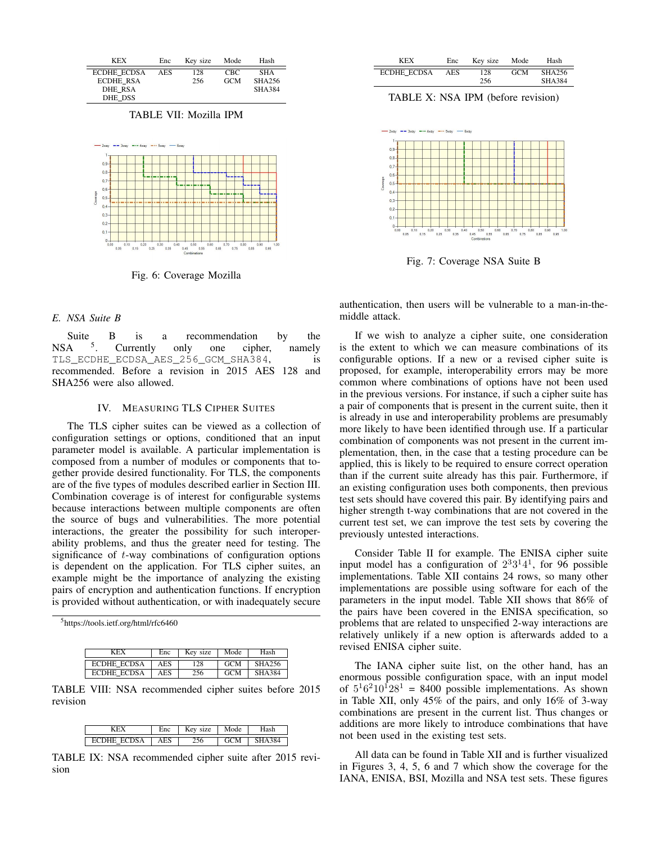| <b>KEX</b>         | Enc        | Kev size | Mode       | Hash          |
|--------------------|------------|----------|------------|---------------|
| <b>ECDHE ECDSA</b> | <b>AES</b> | 128      | CBC.       | <b>SHA</b>    |
| <b>ECDHE RSA</b>   |            | 256      | <b>GCM</b> | SHA256        |
| DHE RSA            |            |          |            | <b>SHA384</b> |
| DHE DSS            |            |          |            |               |

TABLE VII: Mozilla IPM



Fig. 6: Coverage Mozilla

## *E. NSA Suite B*

Suite  $A = \frac{5}{5}$  $NSA$ B is Currently a recommendation only one cipher, by the namely TLS ECDHE ECDSA AES 256 GCM SHA384, is recommended. Before a revision in 2015 AES 128 and SHA256 were also allowed.

## IV. MEASURING TLS CIPHER SUITES

The TLS cipher suites can be viewed as a collection of configuration settings or options, conditioned that an input parameter model is available. A particular implementation is composed from a number of modules or components that together provide desired functionality. For TLS, the components are of the five types of modules described earlier in Section III. Combination coverage is of interest for configurable systems because interactions between multiple components are often the source of bugs and vulnerabilities. The more potential interactions, the greater the possibility for such interoperability problems, and thus the greater need for testing. The significance of t-way combinations of configuration options is dependent on the application. For TLS cipher suites, an example might be the importance of analyzing the existing pairs of encryption and authentication functions. If encryption is provided without authentication, or with inadequately secure

5https://tools.ietf.org/html/rfc6460

| KEX                | Enc | Kev size | Mode       | Hash          |
|--------------------|-----|----------|------------|---------------|
| ECDHE ECDSA        | AES | 128      | <b>GCM</b> | SHA256        |
| <b>ECDHE ECDSA</b> | AES | 256      | <b>GCM</b> | <b>SHA384</b> |

TABLE VIII: NSA recommended cipher suites before 2015 revision

|            | $\Delta VI$<br>7e |    |  |
|------------|-------------------|----|--|
| $S_A$<br>ы |                   | 'M |  |

TABLE IX: NSA recommended cipher suite after 2015 revision

| <b>KEX</b>         | Enc        | Key size | Mode       | Hash          |
|--------------------|------------|----------|------------|---------------|
| <b>ECDHE ECDSA</b> | <b>AES</b> | 128      | <b>GCM</b> | SHA256        |
|                    |            | 256      |            | <b>SHA384</b> |

TABLE X: NSA IPM (before revision)



Fig. 7: Coverage NSA Suite B

authentication, then users will be vulnerable to a man-in-themiddle attack.

If we wish to analyze a cipher suite, one consideration is the extent to which we can measure combinations of its configurable options. If a new or a revised cipher suite is proposed, for example, interoperability errors may be more common where combinations of options have not been used in the previous versions. For instance, if such a cipher suite has a pair of components that is present in the current suite, then it is already in use and interoperability problems are presumably more likely to have been identified through use. If a particular combination of components was not present in the current implementation, then, in the case that a testing procedure can be applied, this is likely to be required to ensure correct operation than if the current suite already has this pair. Furthermore, if an existing configuration uses both components, then previous test sets should have covered this pair. By identifying pairs and higher strength t-way combinations that are not covered in the current test set, we can improve the test sets by covering the previously untested interactions.

Consider Table II for example. The ENISA cipher suite input model has a configuration of  $2^{3}3^{1}4^{1}$ , for 96 possible implementations. Table XII contains 24 rows, so many other implementations are possible using software for each of the parameters in the input model. Table XII shows that 86% of the pairs have been covered in the ENISA specification, so problems that are related to unspecified 2-way interactions are relatively unlikely if a new option is afterwards added to a revised ENISA cipher suite.

The IANA cipher suite list, on the other hand, has an enormous possible configuration space, with an input model of  $5^16^210^128^1$  = 8400 possible implementations. As shown in Table XII, only 45% of the pairs, and only 16% of 3-way combinations are present in the current list. Thus changes or additions are more likely to introduce combinations that have not been used in the existing test sets.

All data can be found in Table XII and is further visualized in Figures 3, 4, 5, 6 and 7 which show the coverage for the IANA, ENISA, BSI, Mozilla and NSA test sets. These figures